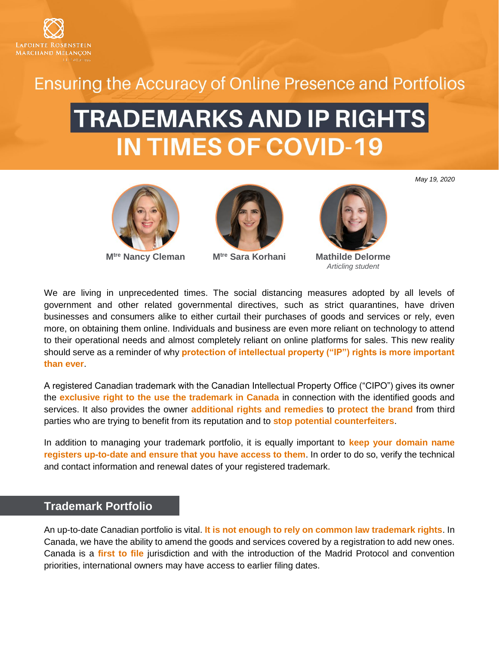

## **Ensuring the Accuracy of Online Presence and Portfolios**

# **TRADEMARKS AND IP RIGHTS IN TIMES OF COVID-19**



**Mtre [Nancy](http://www.lrmm.com/en-CA/team/attorneys/lawyer-melchiorre-antonietta) Cleman Mtre [Sara](http://www.lrmm.com/en-CA/team/attorneys/lawyer-backman-nicholas) Korhani Mathilde Delorme**





*Articling student*

We are living in unprecedented times. The social distancing measures adopted by all levels of government and other related governmental directives, such as strict quarantines, have driven businesses and consumers alike to either curtail their purchases of goods and services or rely, even more, on obtaining them online. Individuals and business are even more reliant on technology to attend to their operational needs and almost completely reliant on online platforms for sales. This new reality should serve as a reminder of why **protection of intellectual property ("IP") rights is more important than ever**.

A registered Canadian trademark with the Canadian Intellectual Property Office ("CIPO") gives its owner the **exclusive right to the use the trademark in Canada** in connection with the identified goods and services. It also provides the owner **additional rights and remedies** to **protect the brand** from third parties who are trying to benefit from its reputation and to **stop potential counterfeiters**.

In addition to managing your trademark portfolio, it is equally important to **keep your domain name registers up-to-date and ensure that you have access to them**. In order to do so, verify the technical and contact information and renewal dates of your registered trademark.

#### **Trademark Portfolio**

An up-to-date Canadian portfolio is vital. **It is not enough to rely on common law trademark rights**. In Canada, we have the ability to amend the goods and services covered by a registration to add new ones. Canada is a **first to file** jurisdiction and with the introduction of the Madrid Protocol and convention priorities, international owners may have access to earlier filing dates.

*May 19, 2020*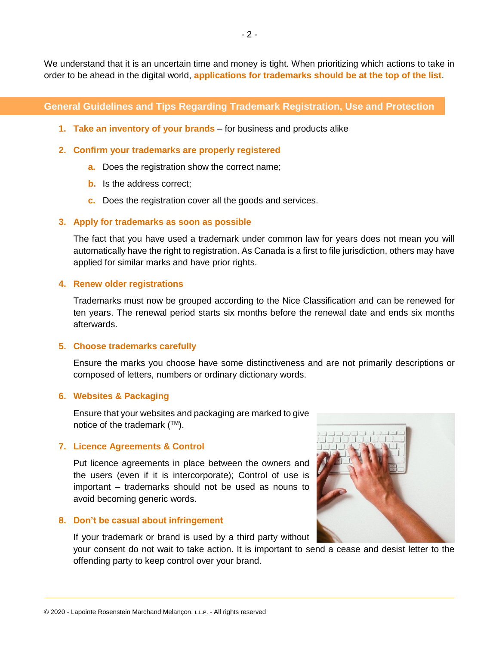We understand that it is an uncertain time and money is tight. When prioritizing which actions to take in order to be ahead in the digital world, **applications for trademarks should be at the top of the list**.

#### **General Guidelines and Tips Regarding Trademark Registration, Use and Protection**

- **1. Take an inventory of your brands** for business and products alike
- **2. Confirm your trademarks are properly registered**
	- **a.** Does the registration show the correct name;
	- **b.** Is the address correct;
	- **c.** Does the registration cover all the goods and services.

#### **3. Apply for trademarks as soon as possible**

The fact that you have used a trademark under common law for years does not mean you will automatically have the right to registration. As Canada is a first to file jurisdiction, others may have applied for similar marks and have prior rights.

#### **4. Renew older registrations**

Trademarks must now be grouped according to the Nice Classification and can be renewed for ten years. The renewal period starts six months before the renewal date and ends six months afterwards.

#### **5. Choose trademarks carefully**

Ensure the marks you choose have some distinctiveness and are not primarily descriptions or composed of letters, numbers or ordinary dictionary words.

#### **6. Websites & Packaging**

Ensure that your websites and packaging are marked to give notice of the trademark  $(\mathbb{M})$ .

#### **7. Licence Agreements & Control**

Put licence agreements in place between the owners and the users (even if it is intercorporate); Control of use is important – trademarks should not be used as nouns to avoid becoming generic words.

#### **8. Don't be casual about infringement**

If your trademark or brand is used by a third party without

your consent do not wait to take action. It is important to send a cease and desist letter to the offending party to keep control over your brand.

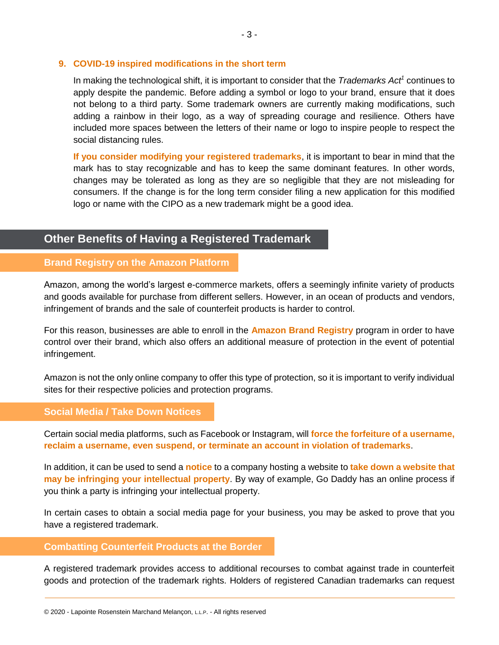#### **9. COVID-19 inspired modifications in the short term**

In making the technological shift, it is important to consider that the *Trademarks Act<sup>1</sup>* continues to apply despite the pandemic. Before adding a symbol or logo to your brand, ensure that it does not belong to a third party. Some trademark owners are currently making modifications, such adding a rainbow in their logo, as a way of spreading courage and resilience. Others have included more spaces between the letters of their name or logo to inspire people to respect the social distancing rules.

**If you consider modifying your registered trademarks**, it is important to bear in mind that the mark has to stay recognizable and has to keep the same dominant features. In other words, changes may be tolerated as long as they are so negligible that they are not misleading for consumers. If the change is for the long term consider filing a new application for this modified logo or name with the CIPO as a new trademark might be a good idea.

### **Other Benefits of Having a Registered Trademark**

#### **Brand Registry on the Amazon Platform**

Amazon, among the world's largest e-commerce markets, offers a seemingly infinite variety of products and goods available for purchase from different sellers. However, in an ocean of products and vendors, infringement of brands and the sale of counterfeit products is harder to control.

For this reason, businesses are able to enroll in the **Amazon Brand Registry** program in order to have control over their brand, which also offers an additional measure of protection in the event of potential infringement.

Amazon is not the only online company to offer this type of protection, so it is important to verify individual sites for their respective policies and protection programs.

#### **Social Media / Take Down Notices**

Certain social media platforms, such as Facebook or Instagram, will **force the forfeiture of a username, reclaim a username, even suspend, or terminate an account in violation of trademarks**.

In addition, it can be used to send a **notice** to a company hosting a website to **take down a website that may be infringing your intellectual property**. By way of example, Go Daddy has an online process if you think a party is infringing your intellectual property.

In certain cases to obtain a social media page for your business, you may be asked to prove that you have a registered trademark.

#### **Combatting Counterfeit Products at the Border**

A registered trademark provides access to additional recourses to combat against trade in counterfeit goods and protection of the trademark rights. Holders of registered Canadian trademarks can request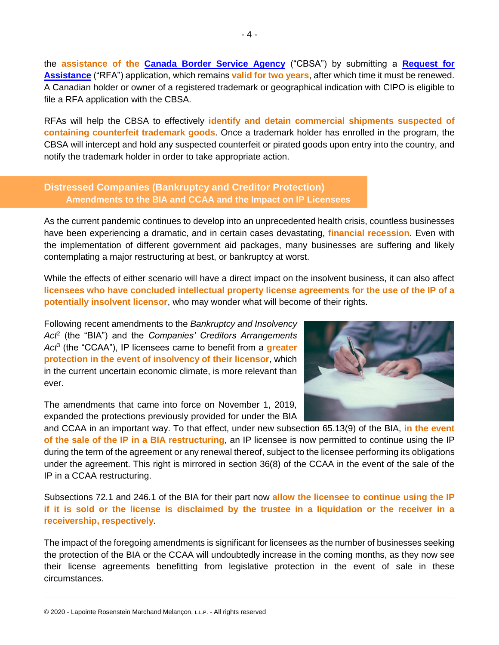the **assistance of the [Canada Border Service Agency](https://www.ic.gc.ca/eic/site/cipointernet-internetopic.nsf/eng/wr03895.html)** ("CBSA") by submitting a **[Request for](https://www.cbsa-asfc.gc.ca/security-securite/ipr-dpi/app-dem-eng.html)  [Assistance](https://www.cbsa-asfc.gc.ca/security-securite/ipr-dpi/app-dem-eng.html)** ("RFA") application, which remains **valid for two years**, after which time it must be renewed. A Canadian holder or owner of a registered trademark or geographical indication with CIPO is eligible to file a RFA application with the CBSA.

RFAs will help the CBSA to effectively **identify and detain commercial shipments suspected of containing counterfeit trademark goods**. Once a trademark holder has enrolled in the program, the CBSA will intercept and hold any suspected counterfeit or pirated goods upon entry into the country, and notify the trademark holder in order to take appropriate action.

#### **Distressed Companies (Bankruptcy and Creditor Protection) Amendments to the BIA and CCAA and the Impact on IP Licensees**

As the current pandemic continues to develop into an unprecedented health crisis, countless businesses have been experiencing a dramatic, and in certain cases devastating, **financial recession**. Even with the implementation of different government aid packages, many businesses are suffering and likely contemplating a major restructuring at best, or bankruptcy at worst.

While the effects of either scenario will have a direct impact on the insolvent business, it can also affect **licensees who have concluded intellectual property license agreements for the use of the IP of a potentially insolvent licensor**, who may wonder what will become of their rights.

Following recent amendments to the *Bankruptcy and Insolvency Act*<sup>2</sup> (the "BIA") and the *Companies' Creditors Arrangements Act*<sup>3</sup> (the "CCAA"), IP licensees came to benefit from a **greater protection in the event of insolvency of their licensor**, which in the current uncertain economic climate, is more relevant than ever.

The amendments that came into force on November 1, 2019, expanded the protections previously provided for under the BIA



and CCAA in an important way. To that effect, under new subsection 65.13(9) of the BIA, **in the event of the sale of the IP in a BIA restructuring**, an IP licensee is now permitted to continue using the IP during the term of the agreement or any renewal thereof, subject to the licensee performing its obligations under the agreement. This right is mirrored in section 36(8) of the CCAA in the event of the sale of the IP in a CCAA restructuring.

Subsections 72.1 and 246.1 of the BIA for their part now **allow the licensee to continue using the IP if it is sold or the license is disclaimed by the trustee in a liquidation or the receiver in a receivership, respectively**.

The impact of the foregoing amendments is significant for licensees as the number of businesses seeking the protection of the BIA or the CCAA will undoubtedly increase in the coming months, as they now see their license agreements benefitting from legislative protection in the event of sale in these circumstances.